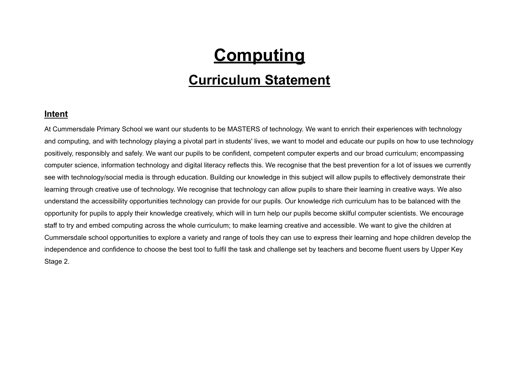# **Computing**

## **Curriculum Statement**

#### **Intent**

At Cummersdale Primary School we want our students to be MASTERS of technology. We want to enrich their experiences with technology and computing, and with technology playing a pivotal part in students' lives, we want to model and educate our pupils on how to use technology positively, responsibly and safely. We want our pupils to be confident, competent computer experts and our broad curriculum; encompassing computer science, information technology and digital literacy reflects this. We recognise that the best prevention for a lot of issues we currently see with technology/social media is through education. Building our knowledge in this subject will allow pupils to effectively demonstrate their learning through creative use of technology. We recognise that technology can allow pupils to share their learning in creative ways. We also understand the accessibility opportunities technology can provide for our pupils. Our knowledge rich curriculum has to be balanced with the opportunity for pupils to apply their knowledge creatively, which will in turn help our pupils become skilful computer scientists. We encourage staff to try and embed computing across the whole curriculum; to make learning creative and accessible. We want to give the children at Cummersdale school opportunities to explore a variety and range of tools they can use to express their learning and hope children develop the independence and confidence to choose the best tool to fulfil the task and challenge set by teachers and become fluent users by Upper Key Stage 2.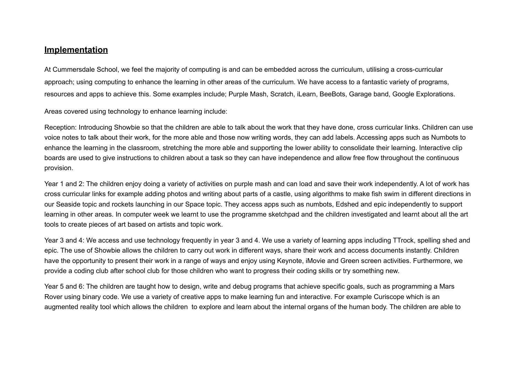#### **Implementation**

At Cummersdale School, we feel the majority of computing is and can be embedded across the curriculum, utilising a cross-curricular approach; using computing to enhance the learning in other areas of the curriculum. We have access to a fantastic variety of programs, resources and apps to achieve this. Some examples include; Purple Mash, Scratch, iLearn, BeeBots, Garage band, Google Explorations.

Areas covered using technology to enhance learning include:

Reception: Introducing Showbie so that the children are able to talk about the work that they have done, cross curricular links. Children can use voice notes to talk about their work, for the more able and those now writing words, they can add labels. Accessing apps such as Numbots to enhance the learning in the classroom, stretching the more able and supporting the lower ability to consolidate their learning. Interactive clip boards are used to give instructions to children about a task so they can have independence and allow free flow throughout the continuous provision.

Year 1 and 2: The children enjoy doing a variety of activities on purple mash and can load and save their work independently. A lot of work has cross curricular links for example adding photos and writing about parts of a castle, using algorithms to make fish swim in different directions in our Seaside topic and rockets launching in our Space topic. They access apps such as numbots, Edshed and epic independently to support learning in other areas. In computer week we learnt to use the programme sketchpad and the children investigated and learnt about all the art tools to create pieces of art based on artists and topic work.

Year 3 and 4: We access and use technology frequently in year 3 and 4. We use a variety of learning apps including TTrock, spelling shed and epic. The use of Showbie allows the children to carry out work in different ways, share their work and access documents instantly. Children have the opportunity to present their work in a range of ways and enjoy using Keynote, iMovie and Green screen activities. Furthermore, we provide a coding club after school club for those children who want to progress their coding skills or try something new.

Year 5 and 6: The children are taught how to design, write and debug programs that achieve specific goals, such as programming a Mars Rover using binary code. We use a variety of creative apps to make learning fun and interactive. For example Curiscope which is an augmented reality tool which allows the children to explore and learn about the internal organs of the human body. The children are able to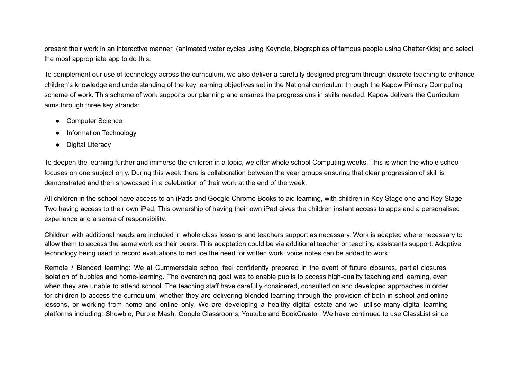present their work in an interactive manner (animated water cycles using Keynote, biographies of famous people using ChatterKids) and select the most appropriate app to do this.

To complement our use of technology across the curriculum, we also deliver a carefully designed program through discrete teaching to enhance children's knowledge and understanding of the key learning objectives set in the National curriculum through the Kapow Primary Computing scheme of work. This scheme of work supports our planning and ensures the progressions in skills needed. Kapow delivers the Curriculum aims through three key strands:

- Computer Science
- Information Technology
- Digital Literacy

To deepen the learning further and immerse the children in a topic, we offer whole school Computing weeks. This is when the whole school focuses on one subject only. During this week there is collaboration between the year groups ensuring that clear progression of skill is demonstrated and then showcased in a celebration of their work at the end of the week.

All children in the school have access to an iPads and Google Chrome Books to aid learning, with children in Key Stage one and Key Stage Two having access to their own iPad. This ownership of having their own iPad gives the children instant access to apps and a personalised experience and a sense of responsibility.

Children with additional needs are included in whole class lessons and teachers support as necessary. Work is adapted where necessary to allow them to access the same work as their peers. This adaptation could be via additional teacher or teaching assistants support. Adaptive technology being used to record evaluations to reduce the need for written work, voice notes can be added to work.

Remote / Blended learning: We at Cummersdale school feel confidently prepared in the event of future closures, partial closures, isolation of bubbles and home-learning. The overarching goal was to enable pupils to access high-quality teaching and learning, even when they are unable to attend school. The teaching staff have carefully considered, consulted on and developed approaches in order for children to access the curriculum, whether they are delivering blended learning through the provision of both in-school and online lessons, or working from home and online only. We are developing a healthy digital estate and we utilise many digital learning platforms including: Showbie, Purple Mash, Google Classrooms, Youtube and BookCreator. We have continued to use ClassList since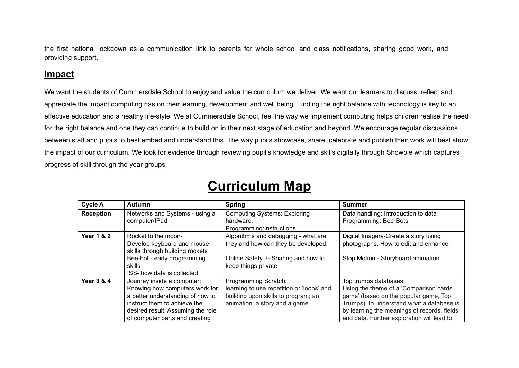the first national lockdown as a communication link to parents for whole school and class notifications, sharing good work, and providing support.

#### **Impact**

We want the students of Cummersdale School to enjoy and value the curriculum we deliver. We want our learners to discuss, reflect and appreciate the impact computing has on their learning, development and well being. Finding the right balance with technology is key to an effective education and a healthy life-style. We at Cummersdale School, feel the way we implement computing helps children realise the need for the right balance and one they can continue to build on in their next stage of education and beyond. We encourage regular discussions between staff and pupils to best embed and understand this. The way pupils showcase, share, celebrate and publish their work will best show the impact of our curriculum. We look for evidence through reviewing pupil's knowledge and skills digitally through Showbie which captures progress of skill through the year groups.

| <b>Cycle A</b>        | Autumn                                            | <b>Spring</b>                                                              | <b>Summer</b>                                                                 |
|-----------------------|---------------------------------------------------|----------------------------------------------------------------------------|-------------------------------------------------------------------------------|
| <b>Reception</b>      | Networks and Systems - using a<br>computer/IPad   | <b>Computing Systems: Exploring</b><br>hardware.                           | Data handling: Introduction to data<br>Programming: Bee-Bots                  |
|                       |                                                   | Programming: Instructions                                                  |                                                                               |
| <b>Year 1 &amp; 2</b> | Rocket to the moon-<br>Develop keyboard and mouse | Algorithms and debugging - what are<br>they and how can they be developed. | Digital Imagery-Create a story using<br>photographs. How to edit and enhance. |
|                       | skills through building rockets                   |                                                                            |                                                                               |
|                       | Bee-bot - early programming<br>skills             | Online Safety 2- Sharing and how to<br>keep things private                 | Stop Motion - Storyboard animation                                            |
|                       | ISS- how data is collected                        |                                                                            |                                                                               |
| <b>Year 3 &amp; 4</b> | Journey inside a computer:                        | Programming Scratch:                                                       | Top trumps databases:                                                         |
|                       | Knowing how computers work for                    | learning to use repetition or 'loops' and                                  | Using the theme of a 'Comparison cards                                        |
|                       | a better understanding of how to                  | building upon skills to program; an                                        | game' (based on the popular game, Top                                         |
|                       | instruct them to achieve the                      | animation, a story and a game                                              | Trumps), to understand what a database is                                     |
|                       | desired result. Assuming the role                 |                                                                            | by learning the meanings of records, fields                                   |
|                       | of computer parts and creating                    |                                                                            | and data. Further exploration will lead to                                    |

### **Curriculum Map**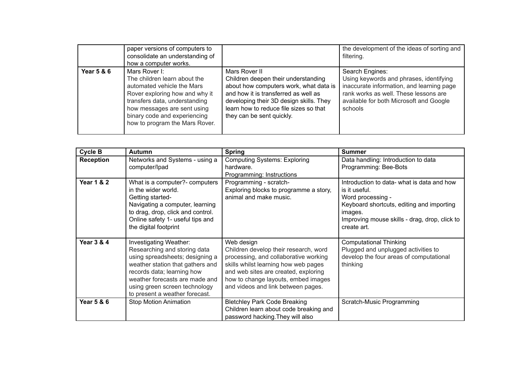|                       | paper versions of computers to<br>consolidate an understanding of<br>how a computer works.                                                                                                                                                      |                                                                                                                                                                                                                                                          | the development of the ideas of sorting and<br>filtering.                                                                                                                                              |
|-----------------------|-------------------------------------------------------------------------------------------------------------------------------------------------------------------------------------------------------------------------------------------------|----------------------------------------------------------------------------------------------------------------------------------------------------------------------------------------------------------------------------------------------------------|--------------------------------------------------------------------------------------------------------------------------------------------------------------------------------------------------------|
| <b>Year 5 &amp; 6</b> | Mars Rover I:<br>The children learn about the<br>automated vehicle the Mars<br>Rover exploring how and why it<br>transfers data, understanding<br>how messages are sent using<br>binary code and experiencing<br>how to program the Mars Rover. | Mars Rover II<br>Children deepen their understanding<br>about how computers work, what data is<br>and how it is transferred as well as<br>developing their 3D design skills. They<br>learn how to reduce file sizes so that<br>they can be sent quickly. | Search Engines:<br>Using keywords and phrases, identifying<br>inaccurate information, and learning page<br>rank works as well. These lessons are<br>available for both Microsoft and Google<br>schools |

| <b>Cycle B</b>        | <b>Autumn</b>                                                                                                                                                                                                                                                    | <b>Spring</b>                                                                                                                                                                                                                                             | <b>Summer</b>                                                                                                                                                                                            |
|-----------------------|------------------------------------------------------------------------------------------------------------------------------------------------------------------------------------------------------------------------------------------------------------------|-----------------------------------------------------------------------------------------------------------------------------------------------------------------------------------------------------------------------------------------------------------|----------------------------------------------------------------------------------------------------------------------------------------------------------------------------------------------------------|
| <b>Reception</b>      | Networks and Systems - using a<br>computer/lpad                                                                                                                                                                                                                  | <b>Computing Systems: Exploring</b><br>hardware.<br>Programming: Instructions                                                                                                                                                                             | Data handling: Introduction to data<br>Programming: Bee-Bots                                                                                                                                             |
| <b>Year 1 &amp; 2</b> | What is a computer?- computers<br>in the wider world.<br>Getting started-<br>Navigating a computer, learning<br>to drag, drop, click and control.<br>Online safety 1- useful tips and<br>the digital footprint                                                   | Programming - scratch-<br>Exploring blocks to programme a story,<br>animal and make music.                                                                                                                                                                | Introduction to data- what is data and how<br>is it useful.<br>Word processing -<br>Keyboard shortcuts, editing and importing<br>images.<br>Improving mouse skills - drag, drop, click to<br>create art. |
| <b>Year 3 &amp; 4</b> | Investigating Weather:<br>Researching and storing data<br>using spreadsheets; designing a<br>weather station that gathers and<br>records data; learning how<br>weather forecasts are made and<br>using green screen technology<br>to present a weather forecast. | Web design<br>Children develop their research, word<br>processing, and collaborative working<br>skills whilst learning how web pages<br>and web sites are created, exploring<br>how to change layouts, embed images<br>and videos and link between pages. | <b>Computational Thinking</b><br>Plugged and unplugged activities to<br>develop the four areas of computational<br>thinking                                                                              |
| <b>Year 5 &amp; 6</b> | <b>Stop Motion Animation</b>                                                                                                                                                                                                                                     | <b>Bletchley Park Code Breaking</b><br>Children learn about code breaking and<br>password hacking. They will also                                                                                                                                         | Scratch-Music Programming                                                                                                                                                                                |